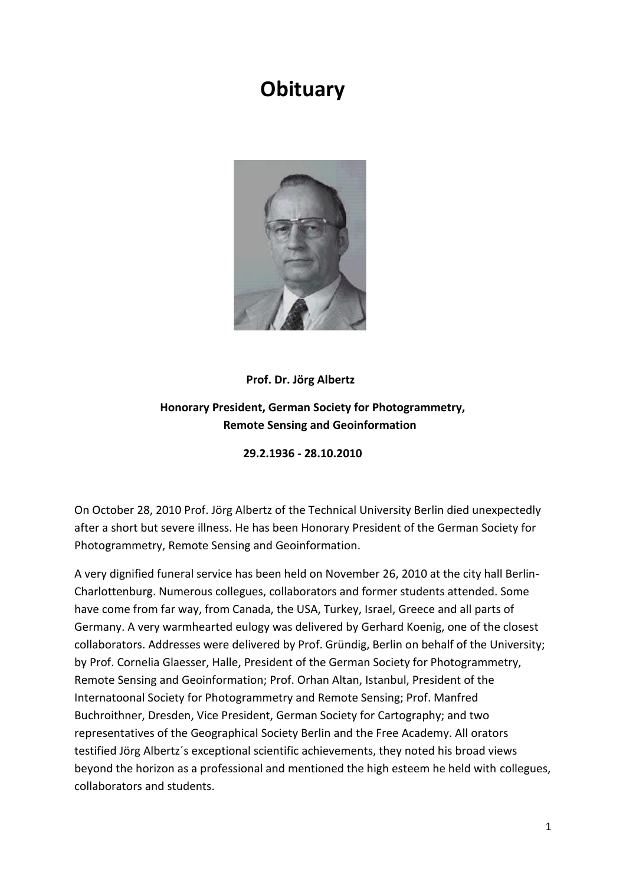## **Obituary**



## **Prof. Dr. Jörg Albertz**

## **Honorary President, German Society for Photogrammetry, Remote Sensing and Geoinformation**

## **29.2.1936 - 28.10.2010**

On October 28, 2010 Prof. Jörg Albertz of the Technical University Berlin died unexpectedly after a short but severe illness. He has been Honorary President of the German Society for Photogrammetry, Remote Sensing and Geoinformation.

A very dignified funeral service has been held on November 26, 2010 at the city hall Berlin-Charlottenburg. Numerous collegues, collaborators and former students attended. Some have come from far way, from Canada, the USA, Turkey, Israel, Greece and all parts of Germany. A very warmhearted eulogy was delivered by Gerhard Koenig, one of the closest collaborators. Addresses were delivered by Prof. Gründig, Berlin on behalf of the University; by Prof. Cornelia Glaesser, Halle, President of the German Society for Photogrammetry, Remote Sensing and Geoinformation; Prof. Orhan Altan, Istanbul, President of the Internatoonal Society for Photogrammetry and Remote Sensing; Prof. Manfred Buchroithner, Dresden, Vice President, German Society for Cartography; and two representatives of the Geographical Society Berlin and the Free Academy. All orators testified Jörg Albertz´s exceptional scientific achievements, they noted his broad views beyond the horizon as a professional and mentioned the high esteem he held with collegues, collaborators and students.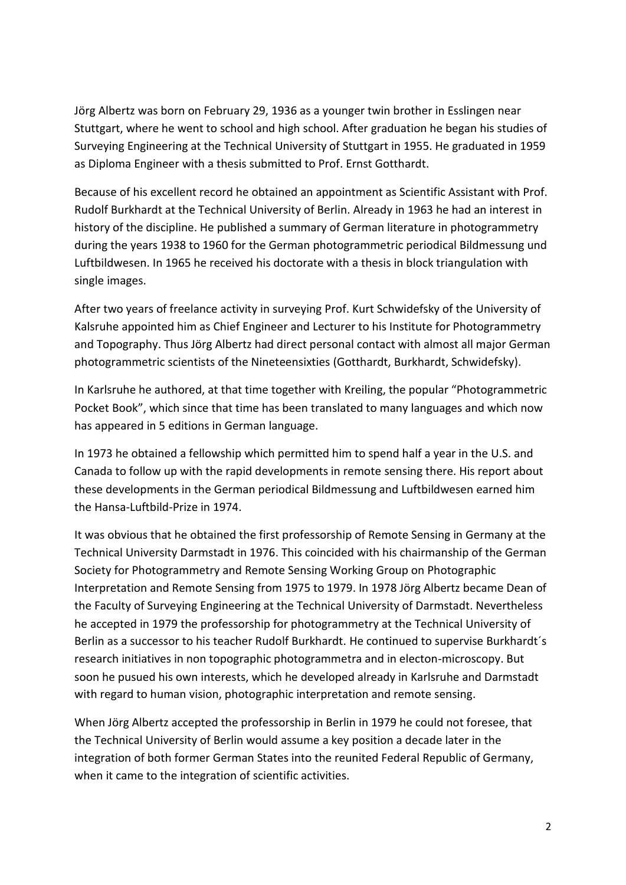Jörg Albertz was born on February 29, 1936 as a younger twin brother in Esslingen near Stuttgart, where he went to school and high school. After graduation he began his studies of Surveying Engineering at the Technical University of Stuttgart in 1955. He graduated in 1959 as Diploma Engineer with a thesis submitted to Prof. Ernst Gotthardt.

Because of his excellent record he obtained an appointment as Scientific Assistant with Prof. Rudolf Burkhardt at the Technical University of Berlin. Already in 1963 he had an interest in history of the discipline. He published a summary of German literature in photogrammetry during the years 1938 to 1960 for the German photogrammetric periodical Bildmessung und Luftbildwesen. In 1965 he received his doctorate with a thesis in block triangulation with single images.

After two years of freelance activity in surveying Prof. Kurt Schwidefsky of the University of Kalsruhe appointed him as Chief Engineer and Lecturer to his Institute for Photogrammetry and Topography. Thus Jörg Albertz had direct personal contact with almost all major German photogrammetric scientists of the Nineteensixties (Gotthardt, Burkhardt, Schwidefsky).

In Karlsruhe he authored, at that time together with Kreiling, the popular "Photogrammetric Pocket Book", which since that time has been translated to many languages and which now has appeared in 5 editions in German language.

In 1973 he obtained a fellowship which permitted him to spend half a year in the U.S. and Canada to follow up with the rapid developments in remote sensing there. His report about these developments in the German periodical Bildmessung and Luftbildwesen earned him the Hansa-Luftbild-Prize in 1974.

It was obvious that he obtained the first professorship of Remote Sensing in Germany at the Technical University Darmstadt in 1976. This coincided with his chairmanship of the German Society for Photogrammetry and Remote Sensing Working Group on Photographic Interpretation and Remote Sensing from 1975 to 1979. In 1978 Jörg Albertz became Dean of the Faculty of Surveying Engineering at the Technical University of Darmstadt. Nevertheless he accepted in 1979 the professorship for photogrammetry at the Technical University of Berlin as a successor to his teacher Rudolf Burkhardt. He continued to supervise Burkhardt´s research initiatives in non topographic photogrammetra and in electon-microscopy. But soon he pusued his own interests, which he developed already in Karlsruhe and Darmstadt with regard to human vision, photographic interpretation and remote sensing.

When Jörg Albertz accepted the professorship in Berlin in 1979 he could not foresee, that the Technical University of Berlin would assume a key position a decade later in the integration of both former German States into the reunited Federal Republic of Germany, when it came to the integration of scientific activities.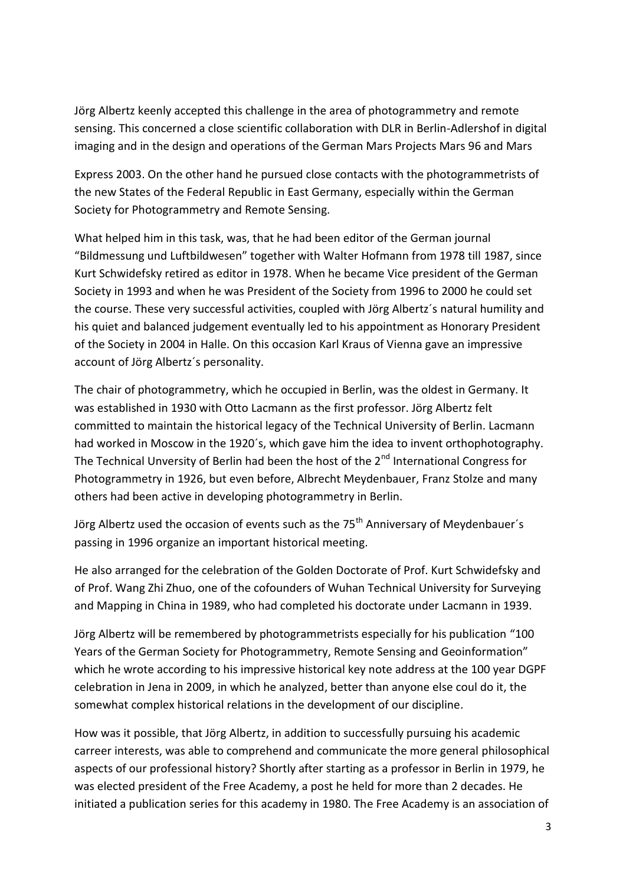Jörg Albertz keenly accepted this challenge in the area of photogrammetry and remote sensing. This concerned a close scientific collaboration with DLR in Berlin-Adlershof in digital imaging and in the design and operations of the German Mars Projects Mars 96 and Mars

Express 2003. On the other hand he pursued close contacts with the photogrammetrists of the new States of the Federal Republic in East Germany, especially within the German Society for Photogrammetry and Remote Sensing.

What helped him in this task, was, that he had been editor of the German journal "Bildmessung und Luftbildwesen" together with Walter Hofmann from 1978 till 1987, since Kurt Schwidefsky retired as editor in 1978. When he became Vice president of the German Society in 1993 and when he was President of the Society from 1996 to 2000 he could set the course. These very successful activities, coupled with Jörg Albertz´s natural humility and his quiet and balanced judgement eventually led to his appointment as Honorary President of the Society in 2004 in Halle. On this occasion Karl Kraus of Vienna gave an impressive account of Jörg Albertz´s personality.

The chair of photogrammetry, which he occupied in Berlin, was the oldest in Germany. It was established in 1930 with Otto Lacmann as the first professor. Jörg Albertz felt committed to maintain the historical legacy of the Technical University of Berlin. Lacmann had worked in Moscow in the 1920´s, which gave him the idea to invent orthophotography. The Technical Unversity of Berlin had been the host of the  $2^{nd}$  International Congress for Photogrammetry in 1926, but even before, Albrecht Meydenbauer, Franz Stolze and many others had been active in developing photogrammetry in Berlin.

Jörg Albertz used the occasion of events such as the 75<sup>th</sup> Anniversary of Meydenbauer's passing in 1996 organize an important historical meeting.

He also arranged for the celebration of the Golden Doctorate of Prof. Kurt Schwidefsky and of Prof. Wang Zhi Zhuo, one of the cofounders of Wuhan Technical University for Surveying and Mapping in China in 1989, who had completed his doctorate under Lacmann in 1939.

Jörg Albertz will be remembered by photogrammetrists especially for his publication "100 Years of the German Society for Photogrammetry, Remote Sensing and Geoinformation" which he wrote according to his impressive historical key note address at the 100 year DGPF celebration in Jena in 2009, in which he analyzed, better than anyone else coul do it, the somewhat complex historical relations in the development of our discipline.

How was it possible, that Jörg Albertz, in addition to successfully pursuing his academic carreer interests, was able to comprehend and communicate the more general philosophical aspects of our professional history? Shortly after starting as a professor in Berlin in 1979, he was elected president of the Free Academy, a post he held for more than 2 decades. He initiated a publication series for this academy in 1980. The Free Academy is an association of